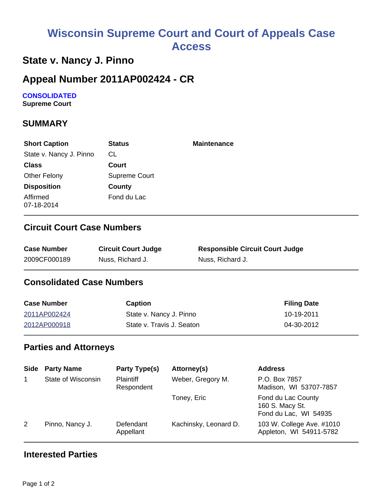# **Wisconsin Supreme Court and Court of Appeals Case Access**

# **State v. Nancy J. Pinno**

### **Appeal Number 2011AP002424 - CR**

### **CONSOLIDATED**

**Supreme Court** 

#### **SUMMARY**

| <b>Short Caption</b>    | <b>Status</b>        | <b>Maintenance</b> |
|-------------------------|----------------------|--------------------|
| State v. Nancy J. Pinno | CL                   |                    |
| <b>Class</b>            | Court                |                    |
| Other Felony            | <b>Supreme Court</b> |                    |
| <b>Disposition</b>      | County               |                    |
| Affirmed<br>07-18-2014  | Fond du Lac          |                    |

#### **Circuit Court Case Numbers**

| <b>Case Number</b> | <b>Circuit Court Judge</b> | <b>Responsible Circuit Court Judge</b> |
|--------------------|----------------------------|----------------------------------------|
| 2009CF000189       | Nuss, Richard J.           | Nuss, Richard J.                       |

#### **Consolidated Case Numbers**

| <b>Case Number</b> | Caption                   | <b>Filing Date</b> |
|--------------------|---------------------------|--------------------|
| 2011AP002424       | State v. Nancy J. Pinno   | 10-19-2011         |
| 2012AP000918       | State v. Travis J. Seaton | 04-30-2012         |

#### **Parties and Attorneys**

| <b>Side</b> | <b>Party Name</b>  | <b>Party Type(s)</b>           | Attorney(s)           | <b>Address</b>                                                 |
|-------------|--------------------|--------------------------------|-----------------------|----------------------------------------------------------------|
|             | State of Wisconsin | <b>Plaintiff</b><br>Respondent | Weber, Gregory M.     | P.O. Box 7857<br>Madison, WI 53707-7857                        |
|             |                    |                                | Toney, Eric           | Fond du Lac County<br>160 S. Macy St.<br>Fond du Lac, WI 54935 |
| 2           | Pinno, Nancy J.    | Defendant<br>Appellant         | Kachinsky, Leonard D. | 103 W. College Ave. #1010<br>Appleton, WI 54911-5782           |

#### **Interested Parties**